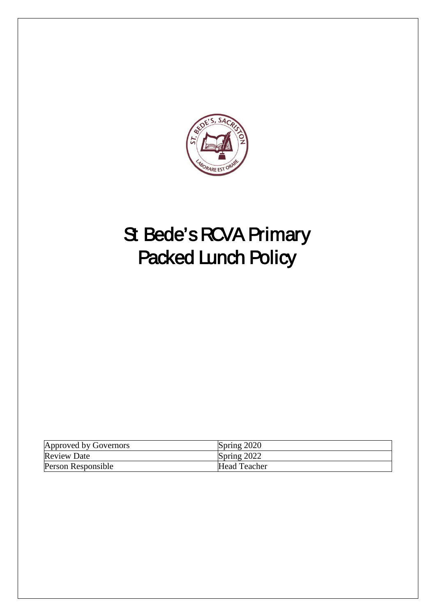

# St Bede's RCVA Primary Packed Lunch Policy

| Approved by Governors | Spring 2020         |
|-----------------------|---------------------|
| <b>Review Date</b>    | Spring 2022         |
| Person Responsible    | <b>Head Teacher</b> |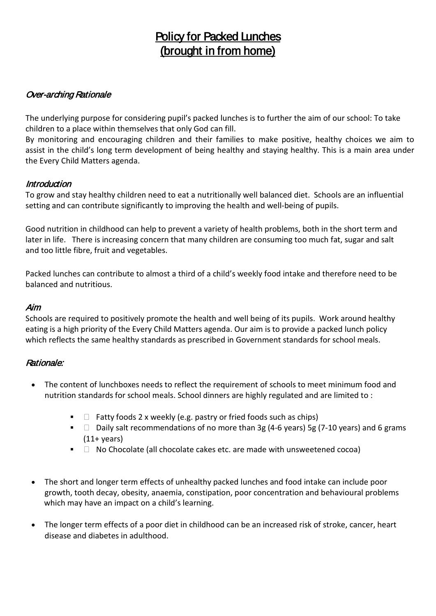# Policy for Packed Lunches (brought in from home)

# Over-arching Rationale

The underlying purpose for considering pupil's packed lunches is to further the aim of our school: To take children to a place within themselves that only God can fill.

By monitoring and encouraging children and their families to make positive, healthy choices we aim to assist in the child's long term development of being healthy and staying healthy. This is a main area under the Every Child Matters agenda.

#### **Introduction**

To grow and stay healthy children need to eat a nutritionally well balanced diet. Schools are an influential setting and can contribute significantly to improving the health and well-being of pupils.

Good nutrition in childhood can help to prevent a variety of health problems, both in the short term and later in life. There is increasing concern that many children are consuming too much fat, sugar and salt and too little fibre, fruit and vegetables.

Packed lunches can contribute to almost a third of a child's weekly food intake and therefore need to be balanced and nutritious.

#### Aim

Schools are required to positively promote the health and well being of its pupils. Work around healthy eating is a high priority of the Every Child Matters agenda. Our aim is to provide a packed lunch policy which reflects the same healthy standards as prescribed in Government standards for school meals.

#### Rationale:

- The content of lunchboxes needs to reflect the requirement of schools to meet minimum food and nutrition standards for school meals. School dinners are highly regulated and are limited to :
	- Fatty foods 2 x weekly (e.g. pastry or fried foods such as chips)
	- **Daily salt recommendations of no more than 3g (4-6 years) 5g (7-10 years) and 6 grams**  $(11+ \text{years})$
	- $\blacksquare$  No Chocolate (all chocolate cakes etc. are made with unsweetened cocoa)
- The short and longer term effects of unhealthy packed lunches and food intake can include poor growth, tooth decay, obesity, anaemia, constipation, poor concentration and behavioural problems which may have an impact on a child's learning.
- The longer term effects of a poor diet in childhood can be an increased risk of stroke, cancer, heart disease and diabetes in adulthood.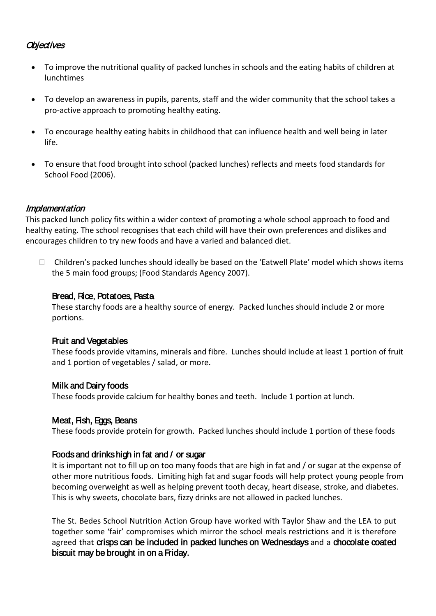#### **Objectives**

- To improve the nutritional quality of packed lunches in schools and the eating habits of children at lunchtimes
- To develop an awareness in pupils, parents, staff and the wider community that the school takes a pro-active approach to promoting healthy eating.
- To encourage healthy eating habits in childhood that can influence health and well being in later life.
- To ensure that food brought into school (packed lunches) reflects and meets food standards for School Food (2006).

#### **Implementation**

This packed lunch policy fits within a wider context of promoting a whole school approach to food and healthy eating. The school recognises that each child will have their own preferences and dislikes and encourages children to try new foods and have a varied and balanced diet.

 $\Box$  Children's packed lunches should ideally be based on the 'Eatwell Plate' model which shows items the 5 main food groups; (Food Standards Agency 2007).

#### Bread, Rice, Potatoes, Pasta

These starchy foods are a healthy source of energy. Packed lunches should include 2 or more portions.

#### Fruit and Vegetables

These foods provide vitamins, minerals and fibre. Lunches should include at least 1 portion of fruit and 1 portion of vegetables / salad, or more.

#### Milk and Dairy foods

These foods provide calcium for healthy bones and teeth. Include 1 portion at lunch.

#### Meat, Fish, Eggs, Beans

These foods provide protein for growth. Packed lunches should include 1 portion of these foods

#### Foods and drinks high in fat and / or sugar

It is important not to fill up on too many foods that are high in fat and / or sugar at the expense of other more nutritious foods. Limiting high fat and sugar foods will help protect young people from becoming overweight as well as helping prevent tooth decay, heart disease, stroke, and diabetes. This is why sweets, chocolate bars, fizzy drinks are not allowed in packed lunches.

The St. Bedes School Nutrition Action Group have worked with Taylor Shaw and the LEA to put together some 'fair' compromises which mirror the school meals restrictions and it is therefore agreed that crisps can be included in packed lunches on Wednesdays and a chocolate coated biscuit may be brought in on a Friday.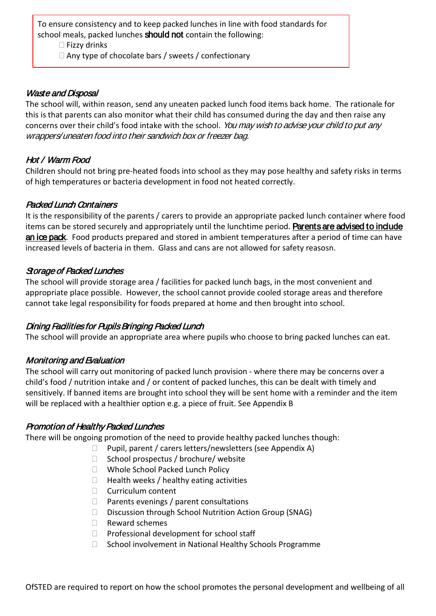To ensure consistency and to keep packed lunches in line with food standards for school meals, packed lunches **should not** contain the following:

 $\Box$  Fizzy drinks

 $\Box$  Any type of chocolate bars / sweets / confectionary

#### Waste and Disposal

The school will, within reason, send any uneaten packed lunch food items back home. The rationale for this is that parents can also monitor what their child has consumed during the day and then raise any concerns over their child's food intake with the school. You may wish to advise your child to put any wrappers/uneaten food into their sandwich box or freezer bag.

#### Hot / Warm Food

Children should not bring pre-heated foods into school as they may pose healthy and safety risks in terms of high temperatures or bacteria development in food not heated correctly.

#### Packed Lunch Containers

It is the responsibility of the parents / carers to provide an appropriate packed lunch container where food items can be stored securely and appropriately until the lunchtime period. **Parents are advised to indude** an ice pack. Food products prepared and stored in ambient temperatures after a period of time can have increased levels of bacteria in them. Glass and cans are not allowed for safety reasosn.

#### Storage of Packed Lunches

The school will provide storage area / facilities for packed lunch bags, in the most convenient and appropriate place possible. However, the school cannot provide cooled storage areas and therefore cannot take legal responsibility for foods prepared at home and then brought into school.

#### Dining Facilities for Pupils Bringing Packed Lunch

The school will provide an appropriate area where pupils who choose to bring packed lunches can eat.

#### Monitoring and Evaluation

The school will carry out monitoring of packed lunch provision - where there may be concerns over a child's food / nutrition intake and / or content of packed lunches, this can be dealt with timely and sensitively. If banned items are brought into school they will be sent home with a reminder and the item will be replaced with a healthier option e.g. a piece of fruit. See Appendix B

#### Promotion of Healthy Packed Lunches

There will be ongoing promotion of the need to provide healthy packed lunches though:

- $\Box$  Pupil, parent / carers letters/newsletters (see Appendix A)
- $\Box$  School prospectus / brochure/ website
- □ Whole School Packed Lunch Policy
- $\Box$  Health weeks / healthy eating activities
- □ Curriculum content
- $\Box$  Parents evenings / parent consultations
- □ Discussion through School Nutrition Action Group (SNAG)
- $\Box$  Reward schemes
- $\Box$  Professional development for school staff
- $\Box$  School involvement in National Healthy Schools Programme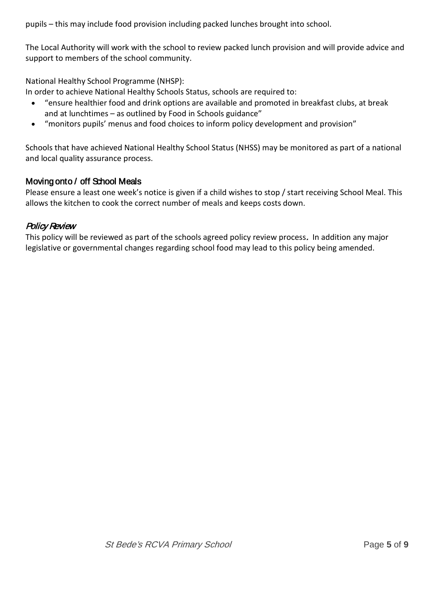pupils – this may include food provision including packed lunches brought into school.

The Local Authority will work with the school to review packed lunch provision and will provide advice and support to members of the school community.

National Healthy School Programme (NHSP):

In order to achieve National Healthy Schools Status, schools are required to:

- "ensure healthier food and drink options are available and promoted in breakfast clubs, at break and at lunchtimes – as outlined by Food in Schools guidance"
- "monitors pupils' menus and food choices to inform policy development and provision"

Schools that have achieved National Healthy School Status (NHSS) may be monitored as part of a national and local quality assurance process.

#### Moving onto / off School Meals

Please ensure a least one week's notice is given if a child wishes to stop / start receiving School Meal. This allows the kitchen to cook the correct number of meals and keeps costs down.

#### Policy Review

This policy will be reviewed as part of the schools agreed policy review process. In addition any major legislative or governmental changes regarding school food may lead to this policy being amended.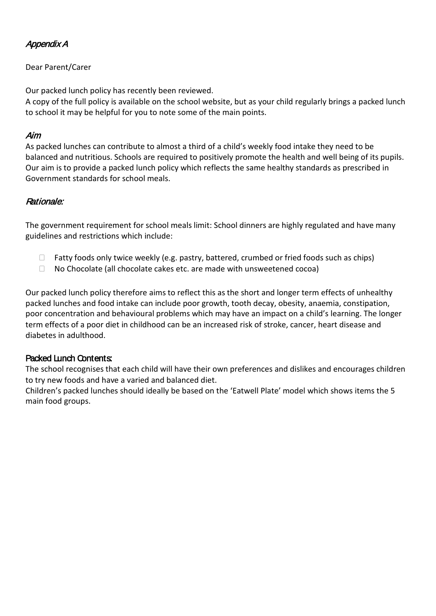# Appendix A

#### Dear Parent/Carer

Our packed lunch policy has recently been reviewed.

A copy of the full policy is available on the school website, but as your child regularly brings a packed lunch to school it may be helpful for you to note some of the main points.

#### Aim

As packed lunches can contribute to almost a third of a child's weekly food intake they need to be balanced and nutritious. Schools are required to positively promote the health and well being of its pupils. Our aim is to provide a packed lunch policy which reflects the same healthy standards as prescribed in Government standards for school meals.

# Rationale:

The government requirement for school meals limit: School dinners are highly regulated and have many guidelines and restrictions which include:

- $\Box$  Fatty foods only twice weekly (e.g. pastry, battered, crumbed or fried foods such as chips)
- $\Box$  No Chocolate (all chocolate cakes etc. are made with unsweetened cocoa)

Our packed lunch policy therefore aims to reflect this as the short and longer term effects of unhealthy packed lunches and food intake can include poor growth, tooth decay, obesity, anaemia, constipation, poor concentration and behavioural problems which may have an impact on a child's learning. The longer term effects of a poor diet in childhood can be an increased risk of stroke, cancer, heart disease and diabetes in adulthood.

# Packed Lunch Contents:

The school recognises that each child will have their own preferences and dislikes and encourages children to try new foods and have a varied and balanced diet.

Children's packed lunches should ideally be based on the 'Eatwell Plate' model which shows items the 5 main food groups.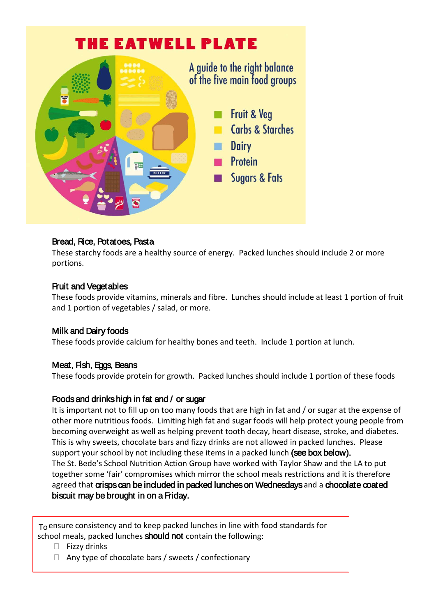

# Bread, Rice, Potatoes, Pasta

These starchy foods are a healthy source of energy. Packed lunches should include 2 or more portions.

#### Fruit and Vegetables

These foods provide vitamins, minerals and fibre. Lunches should include at least 1 portion of fruit and 1 portion of vegetables / salad, or more.

#### Milk and Dairy foods

These foods provide calcium for healthy bones and teeth. Include 1 portion at lunch.

# Meat, Fish, Eggs, Beans

These foods provide protein for growth. Packed lunches should include 1 portion of these foods

#### Foods and drinks high in fat and / or sugar

It is important not to fill up on too many foods that are high in fat and / or sugar at the expense of other more nutritious foods. Limiting high fat and sugar foods will help protect young people from becoming overweight as well as helping prevent tooth decay, heart disease, stroke, and diabetes. This is why sweets, chocolate bars and fizzy drinks are not allowed in packed lunches. Please support your school by not including these items in a packed lunch (see box below). The St. Bede's School Nutrition Action Group have worked with Taylor Shaw and the LA to put together some 'fair' compromises which mirror the school meals restrictions and it is therefore agreed that crisps can be included in packed lunches on Wednesdays and a chocolate coated biscuit may be brought in on a Friday.

To ensure consistency and to keep packed lunches in line with food standards for Tobal moals and lunches **chould not** contain the following: school meals, packed lunches should not contain the following:

- $\Box$  Fizzy drinks
- $\Box$  Any type of chocolate bars / sweets / confectionary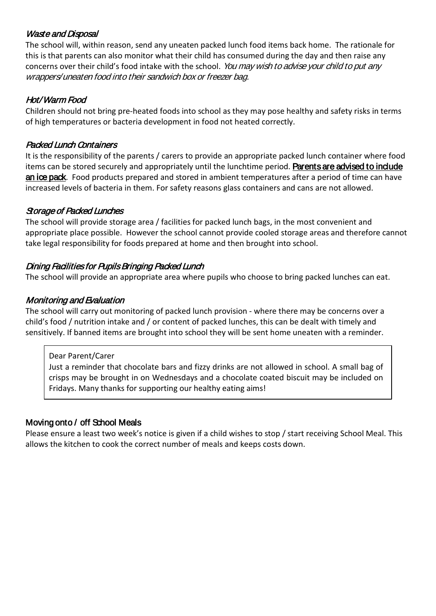# Waste and Disposal

The school will, within reason, send any uneaten packed lunch food items back home. The rationale for this is that parents can also monitor what their child has consumed during the day and then raise any concerns over their child's food intake with the school. You may wish to advise your child to put any wrappers/uneaten food into their sandwich box or freezer bag.

# Hot/ Warm Food

Children should not bring pre-heated foods into school as they may pose healthy and safety risks in terms of high temperatures or bacteria development in food not heated correctly.

# Packed Lunch Containers

It is the responsibility of the parents / carers to provide an appropriate packed lunch container where food items can be stored securely and appropriately until the lunchtime period. Parents are advised to indude an ice pack. Food products prepared and stored in ambient temperatures after a period of time can have increased levels of bacteria in them. For safety reasons glass containers and cans are not allowed.

# Storage of Packed Lunches

The school will provide storage area / facilities for packed lunch bags, in the most convenient and appropriate place possible. However the school cannot provide cooled storage areas and therefore cannot take legal responsibility for foods prepared at home and then brought into school.

# Dining Facilities for Pupils Bringing Packed Lunch

The school will provide an appropriate area where pupils who choose to bring packed lunches can eat.

# Monitoring and Evaluation

The school will carry out monitoring of packed lunch provision - where there may be concerns over a child's food / nutrition intake and / or content of packed lunches, this can be dealt with timely and sensitively. If banned items are brought into school they will be sent home uneaten with a reminder.

#### Dear Parent/Carer

Just a reminder that chocolate bars and fizzy drinks are not allowed in school. A small bag of crisps may be brought in on Wednesdays and a chocolate coated biscuit may be included on Fridays. Many thanks for supporting our healthy eating aims!

# Moving onto / off School Meals

Please ensure a least two week's notice is given if a child wishes to stop / start receiving School Meal. This allows the kitchen to cook the correct number of meals and keeps costs down.